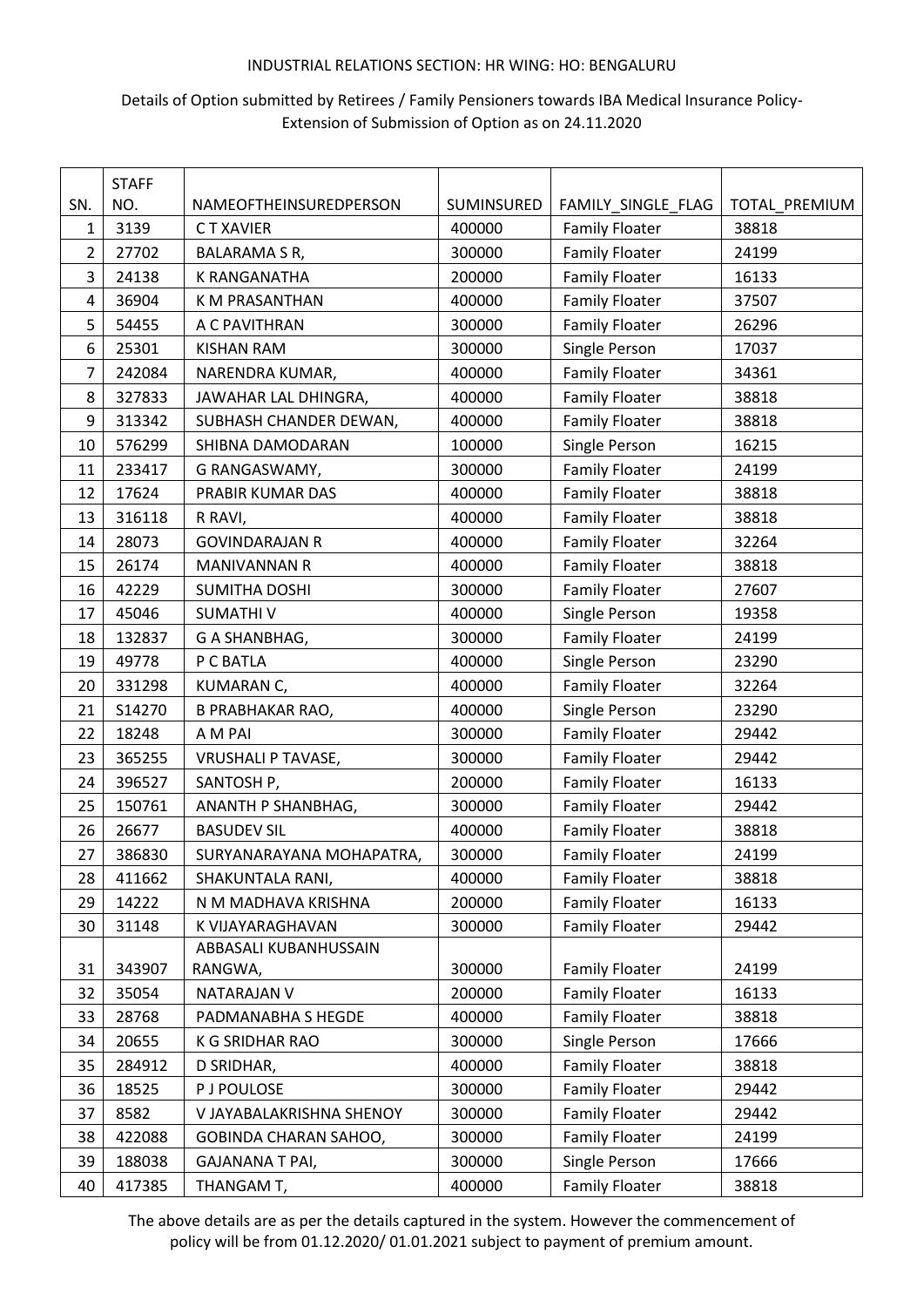# Details of Option submitted by Retirees / Family Pensioners towards IBA Medical Insurance Policy-Extension of Submission of Option as on 24.11.2020

|                | <b>STAFF</b> |                           |            |                       |               |
|----------------|--------------|---------------------------|------------|-----------------------|---------------|
| SN.            | NO.          | NAMEOFTHEINSUREDPERSON    | SUMINSURED | FAMILY_SINGLE_FLAG    | TOTAL_PREMIUM |
| 1              | 3139         | C T XAVIER                | 400000     | <b>Family Floater</b> | 38818         |
| $\overline{2}$ | 27702        | BALARAMA S R,             | 300000     | <b>Family Floater</b> | 24199         |
| 3              | 24138        | K RANGANATHA              | 200000     | <b>Family Floater</b> | 16133         |
| 4              | 36904        | K M PRASANTHAN            | 400000     | <b>Family Floater</b> | 37507         |
| 5              | 54455        | A C PAVITHRAN             | 300000     | <b>Family Floater</b> | 26296         |
| 6              | 25301        | <b>KISHAN RAM</b>         | 300000     | Single Person         | 17037         |
| 7              | 242084       | NARENDRA KUMAR,           | 400000     | <b>Family Floater</b> | 34361         |
| 8              | 327833       | JAWAHAR LAL DHINGRA,      | 400000     | <b>Family Floater</b> | 38818         |
| 9              | 313342       | SUBHASH CHANDER DEWAN,    | 400000     | <b>Family Floater</b> | 38818         |
| 10             | 576299       | SHIBNA DAMODARAN          | 100000     | Single Person         | 16215         |
| 11             | 233417       | G RANGASWAMY,             | 300000     | <b>Family Floater</b> | 24199         |
| 12             | 17624        | PRABIR KUMAR DAS          | 400000     | <b>Family Floater</b> | 38818         |
| 13             | 316118       | R RAVI,                   | 400000     | <b>Family Floater</b> | 38818         |
| 14             | 28073        | <b>GOVINDARAJAN R</b>     | 400000     | <b>Family Floater</b> | 32264         |
| 15             | 26174        | MANIVANNAN R              | 400000     | <b>Family Floater</b> | 38818         |
| 16             | 42229        | <b>SUMITHA DOSHI</b>      | 300000     | <b>Family Floater</b> | 27607         |
| 17             | 45046        | <b>SUMATHIV</b>           | 400000     | Single Person         | 19358         |
| 18             | 132837       | G A SHANBHAG,             | 300000     | <b>Family Floater</b> | 24199         |
| 19             | 49778        | P C BATLA                 | 400000     | Single Person         | 23290         |
| 20             | 331298       | KUMARAN C,                | 400000     | <b>Family Floater</b> | 32264         |
| 21             | S14270       | <b>B PRABHAKAR RAO,</b>   | 400000     | Single Person         | 23290         |
| 22             | 18248        | A M PAI                   | 300000     | <b>Family Floater</b> | 29442         |
| 23             | 365255       | <b>VRUSHALI P TAVASE,</b> | 300000     | <b>Family Floater</b> | 29442         |
| 24             | 396527       | SANTOSH P,                | 200000     | <b>Family Floater</b> | 16133         |
| 25             | 150761       | ANANTH P SHANBHAG,        | 300000     | <b>Family Floater</b> | 29442         |
| 26             | 26677        | <b>BASUDEV SIL</b>        | 400000     | <b>Family Floater</b> | 38818         |
| 27             | 386830       | SURYANARAYANA MOHAPATRA,  | 300000     | <b>Family Floater</b> | 24199         |
| 28             | 411662       | SHAKUNTALA RANI,          | 400000     | <b>Family Floater</b> | 38818         |
| 29             | 14222        | N M MADHAVA KRISHNA       | 200000     | <b>Family Floater</b> | 16133         |
| 30             | 31148        | K VIJAYARAGHAVAN          | 300000     | <b>Family Floater</b> | 29442         |
|                |              | ABBASALI KUBANHUSSAIN     |            |                       |               |
| 31             | 343907       | RANGWA,                   | 300000     | <b>Family Floater</b> | 24199         |
| 32             | 35054        | <b>NATARAJAN V</b>        | 200000     | <b>Family Floater</b> | 16133         |
| 33             | 28768        | PADMANABHA S HEGDE        | 400000     | <b>Family Floater</b> | 38818         |
| 34             | 20655        | K G SRIDHAR RAO           | 300000     | Single Person         | 17666         |
| 35             | 284912       | D SRIDHAR,                | 400000     | <b>Family Floater</b> | 38818         |
| 36             | 18525        | <b>P J POULOSE</b>        | 300000     | <b>Family Floater</b> | 29442         |
| 37             | 8582         | V JAYABALAKRISHNA SHENOY  | 300000     | <b>Family Floater</b> | 29442         |
| 38             | 422088       | GOBINDA CHARAN SAHOO,     | 300000     | <b>Family Floater</b> | 24199         |
| 39             | 188038       | <b>GAJANANA T PAI,</b>    | 300000     | Single Person         | 17666         |
| 40             | 417385       | THANGAM T,                | 400000     | <b>Family Floater</b> | 38818         |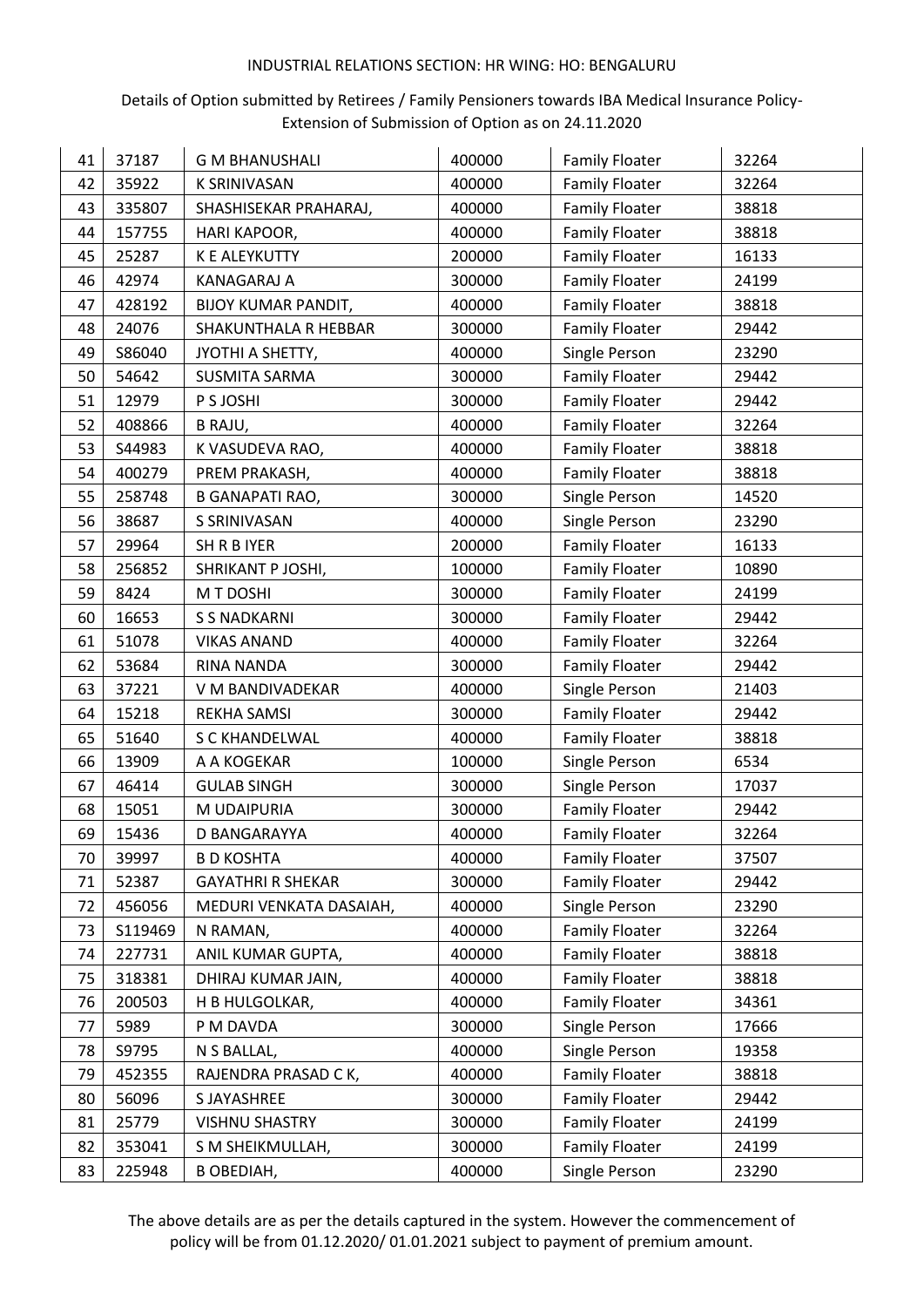## Details of Option submitted by Retirees / Family Pensioners towards IBA Medical Insurance Policy-Extension of Submission of Option as on 24.11.2020

| 41 | 37187   | <b>G M BHANUSHALI</b>      | 400000 | <b>Family Floater</b> | 32264 |
|----|---------|----------------------------|--------|-----------------------|-------|
| 42 | 35922   | <b>K SRINIVASAN</b>        | 400000 | <b>Family Floater</b> | 32264 |
| 43 | 335807  | SHASHISEKAR PRAHARAJ,      | 400000 | <b>Family Floater</b> | 38818 |
| 44 | 157755  | HARI KAPOOR,               | 400000 | <b>Family Floater</b> | 38818 |
| 45 | 25287   | K E ALEYKUTTY              | 200000 | <b>Family Floater</b> | 16133 |
| 46 | 42974   | <b>KANAGARAJ A</b>         | 300000 | <b>Family Floater</b> | 24199 |
| 47 | 428192  | <b>BIJOY KUMAR PANDIT,</b> | 400000 | <b>Family Floater</b> | 38818 |
| 48 | 24076   | SHAKUNTHALA R HEBBAR       | 300000 | <b>Family Floater</b> | 29442 |
| 49 | S86040  | JYOTHI A SHETTY,           | 400000 | Single Person         | 23290 |
| 50 | 54642   | <b>SUSMITA SARMA</b>       | 300000 | <b>Family Floater</b> | 29442 |
| 51 | 12979   | P S JOSHI                  | 300000 | <b>Family Floater</b> | 29442 |
| 52 | 408866  | B RAJU,                    | 400000 | <b>Family Floater</b> | 32264 |
| 53 | S44983  | K VASUDEVA RAO,            | 400000 | <b>Family Floater</b> | 38818 |
| 54 | 400279  | PREM PRAKASH,              | 400000 | <b>Family Floater</b> | 38818 |
| 55 | 258748  | <b>B GANAPATI RAO,</b>     | 300000 | Single Person         | 14520 |
| 56 | 38687   | S SRINIVASAN               | 400000 | Single Person         | 23290 |
| 57 | 29964   | SH R B IYER                | 200000 | <b>Family Floater</b> | 16133 |
| 58 | 256852  | SHRIKANT P JOSHI,          | 100000 | <b>Family Floater</b> | 10890 |
| 59 | 8424    | M T DOSHI                  | 300000 | <b>Family Floater</b> | 24199 |
| 60 | 16653   | <b>S S NADKARNI</b>        | 300000 | <b>Family Floater</b> | 29442 |
| 61 | 51078   | <b>VIKAS ANAND</b>         | 400000 | <b>Family Floater</b> | 32264 |
| 62 | 53684   | RINA NANDA                 | 300000 | <b>Family Floater</b> | 29442 |
| 63 | 37221   | V M BANDIVADEKAR           | 400000 | Single Person         | 21403 |
| 64 | 15218   | REKHA SAMSI                | 300000 | <b>Family Floater</b> | 29442 |
| 65 | 51640   | S C KHANDELWAL             | 400000 | <b>Family Floater</b> | 38818 |
| 66 | 13909   | A A KOGEKAR                | 100000 | Single Person         | 6534  |
| 67 | 46414   | <b>GULAB SINGH</b>         | 300000 | Single Person         | 17037 |
| 68 | 15051   | M UDAIPURIA                | 300000 | <b>Family Floater</b> | 29442 |
| 69 | 15436   | D BANGARAYYA               | 400000 | <b>Family Floater</b> | 32264 |
| 70 | 39997   | <b>B D KOSHTA</b>          | 400000 | <b>Family Floater</b> | 37507 |
| 71 | 52387   | <b>GAYATHRI R SHEKAR</b>   | 300000 | <b>Family Floater</b> | 29442 |
| 72 | 456056  | MEDURI VENKATA DASAIAH,    | 400000 | Single Person         | 23290 |
| 73 | S119469 | N RAMAN,                   | 400000 | <b>Family Floater</b> | 32264 |
| 74 | 227731  | ANIL KUMAR GUPTA,          | 400000 | <b>Family Floater</b> | 38818 |
| 75 | 318381  | DHIRAJ KUMAR JAIN,         | 400000 | <b>Family Floater</b> | 38818 |
| 76 | 200503  | H B HULGOLKAR,             | 400000 | <b>Family Floater</b> | 34361 |
| 77 | 5989    | P M DAVDA                  | 300000 | Single Person         | 17666 |
| 78 | S9795   | N S BALLAL,                | 400000 | Single Person         | 19358 |
| 79 | 452355  | RAJENDRA PRASAD C K,       | 400000 | <b>Family Floater</b> | 38818 |
| 80 | 56096   | S JAYASHREE                | 300000 | <b>Family Floater</b> | 29442 |
| 81 | 25779   | <b>VISHNU SHASTRY</b>      | 300000 | <b>Family Floater</b> | 24199 |
| 82 | 353041  | S M SHEIKMULLAH,           | 300000 | <b>Family Floater</b> | 24199 |
| 83 | 225948  | <b>B OBEDIAH,</b>          | 400000 | Single Person         | 23290 |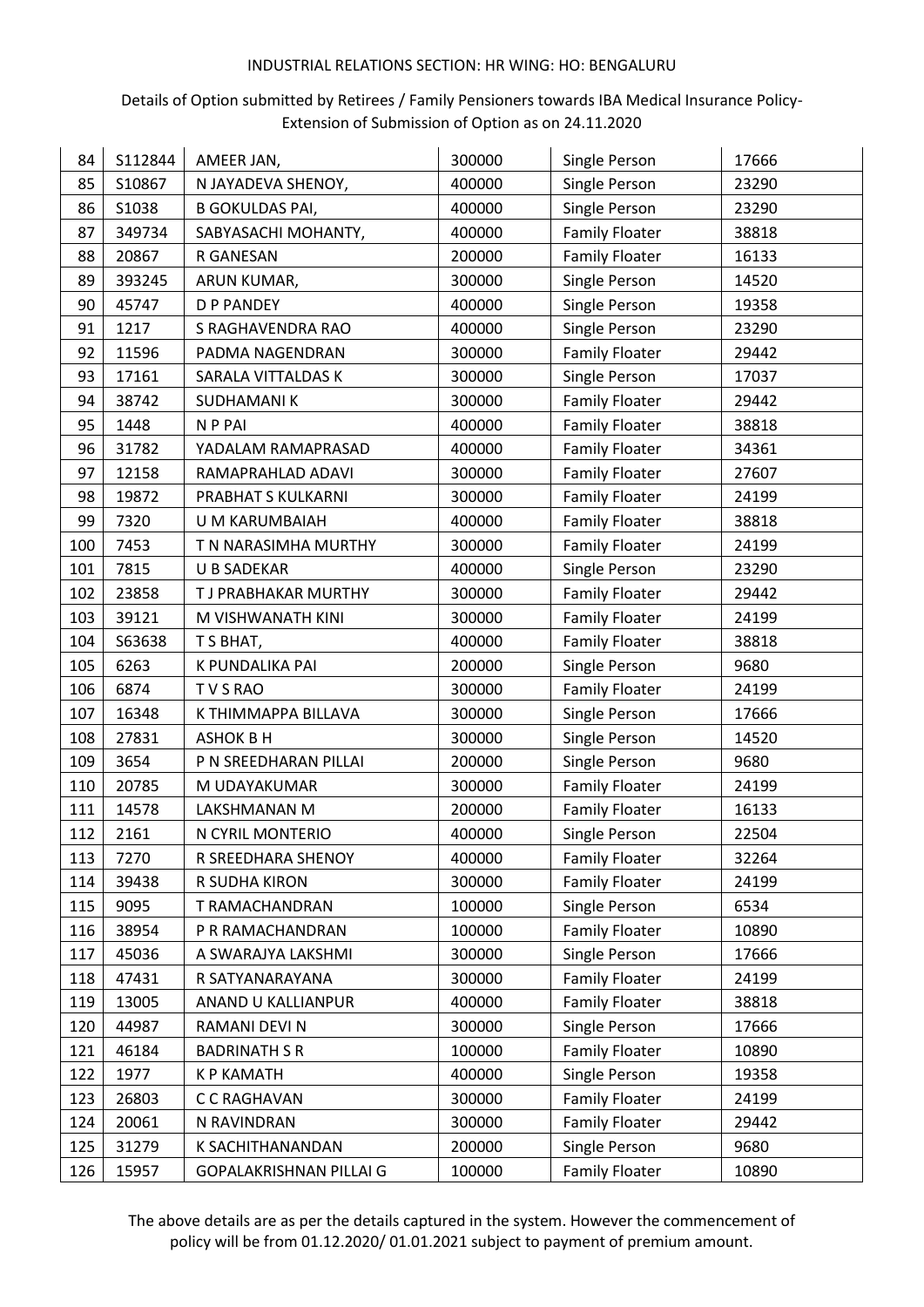## Details of Option submitted by Retirees / Family Pensioners towards IBA Medical Insurance Policy-Extension of Submission of Option as on 24.11.2020

| 84  | S112844 | AMEER JAN,              | 300000 | Single Person         | 17666 |
|-----|---------|-------------------------|--------|-----------------------|-------|
| 85  | S10867  | N JAYADEVA SHENOY,      | 400000 | Single Person         | 23290 |
| 86  | S1038   | <b>B GOKULDAS PAI,</b>  | 400000 | Single Person         | 23290 |
| 87  | 349734  | SABYASACHI MOHANTY,     | 400000 | <b>Family Floater</b> | 38818 |
| 88  | 20867   | R GANESAN               | 200000 | <b>Family Floater</b> | 16133 |
| 89  | 393245  | ARUN KUMAR,             | 300000 | Single Person         | 14520 |
| 90  | 45747   | <b>D P PANDEY</b>       | 400000 | Single Person         | 19358 |
| 91  | 1217    | S RAGHAVENDRA RAO       | 400000 | Single Person         | 23290 |
| 92  | 11596   | PADMA NAGENDRAN         | 300000 | <b>Family Floater</b> | 29442 |
| 93  | 17161   | SARALA VITTALDAS K      | 300000 | Single Person         | 17037 |
| 94  | 38742   | <b>SUDHAMANIK</b>       | 300000 | <b>Family Floater</b> | 29442 |
| 95  | 1448    | N P PAI                 | 400000 | <b>Family Floater</b> | 38818 |
| 96  | 31782   | YADALAM RAMAPRASAD      | 400000 | <b>Family Floater</b> | 34361 |
| 97  | 12158   | RAMAPRAHLAD ADAVI       | 300000 | <b>Family Floater</b> | 27607 |
| 98  | 19872   | PRABHAT S KULKARNI      | 300000 | <b>Family Floater</b> | 24199 |
| 99  | 7320    | U M KARUMBAIAH          | 400000 | <b>Family Floater</b> | 38818 |
| 100 | 7453    | T N NARASIMHA MURTHY    | 300000 | <b>Family Floater</b> | 24199 |
| 101 | 7815    | <b>U B SADEKAR</b>      | 400000 | Single Person         | 23290 |
| 102 | 23858   | T J PRABHAKAR MURTHY    | 300000 | <b>Family Floater</b> | 29442 |
| 103 | 39121   | M VISHWANATH KINI       | 300000 | <b>Family Floater</b> | 24199 |
| 104 | S63638  | T S BHAT,               | 400000 | <b>Family Floater</b> | 38818 |
| 105 | 6263    | K PUNDALIKA PAI         | 200000 | Single Person         | 9680  |
| 106 | 6874    | TVSRAO                  | 300000 | <b>Family Floater</b> | 24199 |
| 107 | 16348   | K THIMMAPPA BILLAVA     | 300000 | Single Person         | 17666 |
| 108 | 27831   | <b>ASHOK B H</b>        | 300000 | Single Person         | 14520 |
| 109 | 3654    | P N SREEDHARAN PILLAI   | 200000 | Single Person         | 9680  |
| 110 | 20785   | M UDAYAKUMAR            | 300000 | <b>Family Floater</b> | 24199 |
| 111 | 14578   | LAKSHMANAN M            | 200000 | <b>Family Floater</b> | 16133 |
| 112 | 2161    | N CYRIL MONTERIO        | 400000 | Single Person         | 22504 |
| 113 | 7270    | R SREEDHARA SHENOY      | 400000 | <b>Family Floater</b> | 32264 |
| 114 | 39438   | R SUDHA KIRON           | 300000 | <b>Family Floater</b> | 24199 |
| 115 | 9095    | T RAMACHANDRAN          | 100000 | Single Person         | 6534  |
| 116 | 38954   | P R RAMACHANDRAN        | 100000 | <b>Family Floater</b> | 10890 |
| 117 | 45036   | A SWARAJYA LAKSHMI      | 300000 | Single Person         | 17666 |
| 118 | 47431   | R SATYANARAYANA         | 300000 | <b>Family Floater</b> | 24199 |
| 119 | 13005   | ANAND U KALLIANPUR      | 400000 | <b>Family Floater</b> | 38818 |
| 120 | 44987   | RAMANI DEVI N           | 300000 | Single Person         | 17666 |
| 121 | 46184   | <b>BADRINATH S R</b>    | 100000 | <b>Family Floater</b> | 10890 |
| 122 | 1977    | <b>K P KAMATH</b>       | 400000 | Single Person         | 19358 |
| 123 | 26803   | C C RAGHAVAN            | 300000 | <b>Family Floater</b> | 24199 |
| 124 | 20061   | N RAVINDRAN             | 300000 | <b>Family Floater</b> | 29442 |
| 125 | 31279   | K SACHITHANANDAN        | 200000 | Single Person         | 9680  |
| 126 | 15957   | GOPALAKRISHNAN PILLAI G | 100000 | <b>Family Floater</b> | 10890 |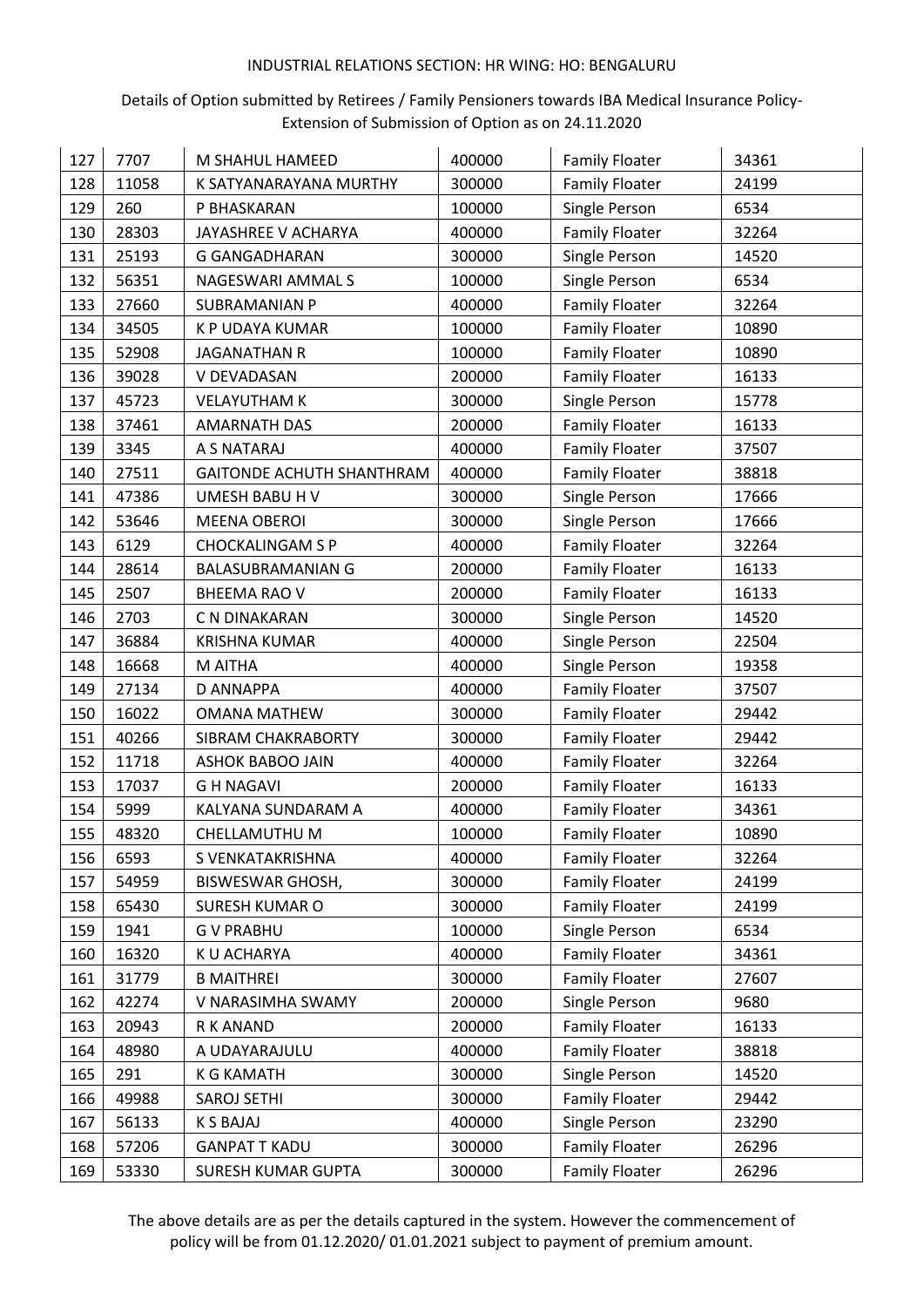## Details of Option submitted by Retirees / Family Pensioners towards IBA Medical Insurance Policy-Extension of Submission of Option as on 24.11.2020

| 127 | 7707  | M SHAHUL HAMEED           | 400000 | <b>Family Floater</b> | 34361 |
|-----|-------|---------------------------|--------|-----------------------|-------|
| 128 | 11058 | K SATYANARAYANA MURTHY    | 300000 | <b>Family Floater</b> | 24199 |
| 129 | 260   | P BHASKARAN               | 100000 | Single Person         | 6534  |
| 130 | 28303 | JAYASHREE V ACHARYA       | 400000 | <b>Family Floater</b> | 32264 |
| 131 | 25193 | <b>G GANGADHARAN</b>      | 300000 | Single Person         | 14520 |
|     |       |                           | 100000 |                       | 6534  |
| 132 | 56351 | NAGESWARI AMMAL S         |        | Single Person         |       |
| 133 | 27660 | <b>SUBRAMANIAN P</b>      | 400000 | <b>Family Floater</b> | 32264 |
| 134 | 34505 | K P UDAYA KUMAR           | 100000 | <b>Family Floater</b> | 10890 |
| 135 | 52908 | <b>JAGANATHAN R</b>       | 100000 | <b>Family Floater</b> | 10890 |
| 136 | 39028 | V DEVADASAN               | 200000 | <b>Family Floater</b> | 16133 |
| 137 | 45723 | <b>VELAYUTHAM K</b>       | 300000 | Single Person         | 15778 |
| 138 | 37461 | <b>AMARNATH DAS</b>       | 200000 | <b>Family Floater</b> | 16133 |
| 139 | 3345  | A S NATARAJ               | 400000 | <b>Family Floater</b> | 37507 |
| 140 | 27511 | GAITONDE ACHUTH SHANTHRAM | 400000 | <b>Family Floater</b> | 38818 |
| 141 | 47386 | UMESH BABU H V            | 300000 | Single Person         | 17666 |
| 142 | 53646 | <b>MEENA OBEROI</b>       | 300000 | Single Person         | 17666 |
| 143 | 6129  | <b>CHOCKALINGAM S P</b>   | 400000 | <b>Family Floater</b> | 32264 |
| 144 | 28614 | <b>BALASUBRAMANIAN G</b>  | 200000 | <b>Family Floater</b> | 16133 |
| 145 | 2507  | <b>BHEEMA RAO V</b>       | 200000 | <b>Family Floater</b> | 16133 |
| 146 | 2703  | C N DINAKARAN             | 300000 | Single Person         | 14520 |
| 147 | 36884 | <b>KRISHNA KUMAR</b>      | 400000 | Single Person         | 22504 |
| 148 | 16668 | M AITHA                   | 400000 | Single Person         | 19358 |
| 149 | 27134 | D ANNAPPA                 | 400000 | <b>Family Floater</b> | 37507 |
| 150 | 16022 | <b>OMANA MATHEW</b>       | 300000 | <b>Family Floater</b> | 29442 |
| 151 | 40266 | SIBRAM CHAKRABORTY        | 300000 | <b>Family Floater</b> | 29442 |
| 152 | 11718 | ASHOK BABOO JAIN          | 400000 | <b>Family Floater</b> | 32264 |
| 153 | 17037 | <b>GH NAGAVI</b>          | 200000 | <b>Family Floater</b> | 16133 |
| 154 | 5999  | KALYANA SUNDARAM A        | 400000 | <b>Family Floater</b> | 34361 |
| 155 | 48320 | CHELLAMUTHU M             | 100000 | <b>Family Floater</b> | 10890 |
| 156 | 6593  | S VENKATAKRISHNA          | 400000 | <b>Family Floater</b> | 32264 |
| 157 | 54959 | <b>BISWESWAR GHOSH,</b>   | 300000 | <b>Family Floater</b> | 24199 |
| 158 | 65430 | <b>SURESH KUMAR O</b>     | 300000 | <b>Family Floater</b> | 24199 |
| 159 | 1941  | <b>GV PRABHU</b>          | 100000 | Single Person         | 6534  |
| 160 | 16320 | K U ACHARYA               | 400000 | <b>Family Floater</b> | 34361 |
| 161 | 31779 | <b>B MAITHREI</b>         | 300000 | <b>Family Floater</b> | 27607 |
| 162 | 42274 | V NARASIMHA SWAMY         | 200000 | Single Person         | 9680  |
| 163 | 20943 | R K ANAND                 | 200000 | <b>Family Floater</b> | 16133 |
| 164 | 48980 | A UDAYARAJULU             | 400000 | <b>Family Floater</b> | 38818 |
| 165 | 291   | <b>K G KAMATH</b>         | 300000 | Single Person         | 14520 |
| 166 | 49988 | <b>SAROJ SETHI</b>        | 300000 | <b>Family Floater</b> | 29442 |
| 167 | 56133 | K S BAJAJ                 | 400000 | Single Person         | 23290 |
| 168 | 57206 | <b>GANPATT KADU</b>       | 300000 | <b>Family Floater</b> | 26296 |
|     |       | SURESH KUMAR GUPTA        | 300000 | <b>Family Floater</b> | 26296 |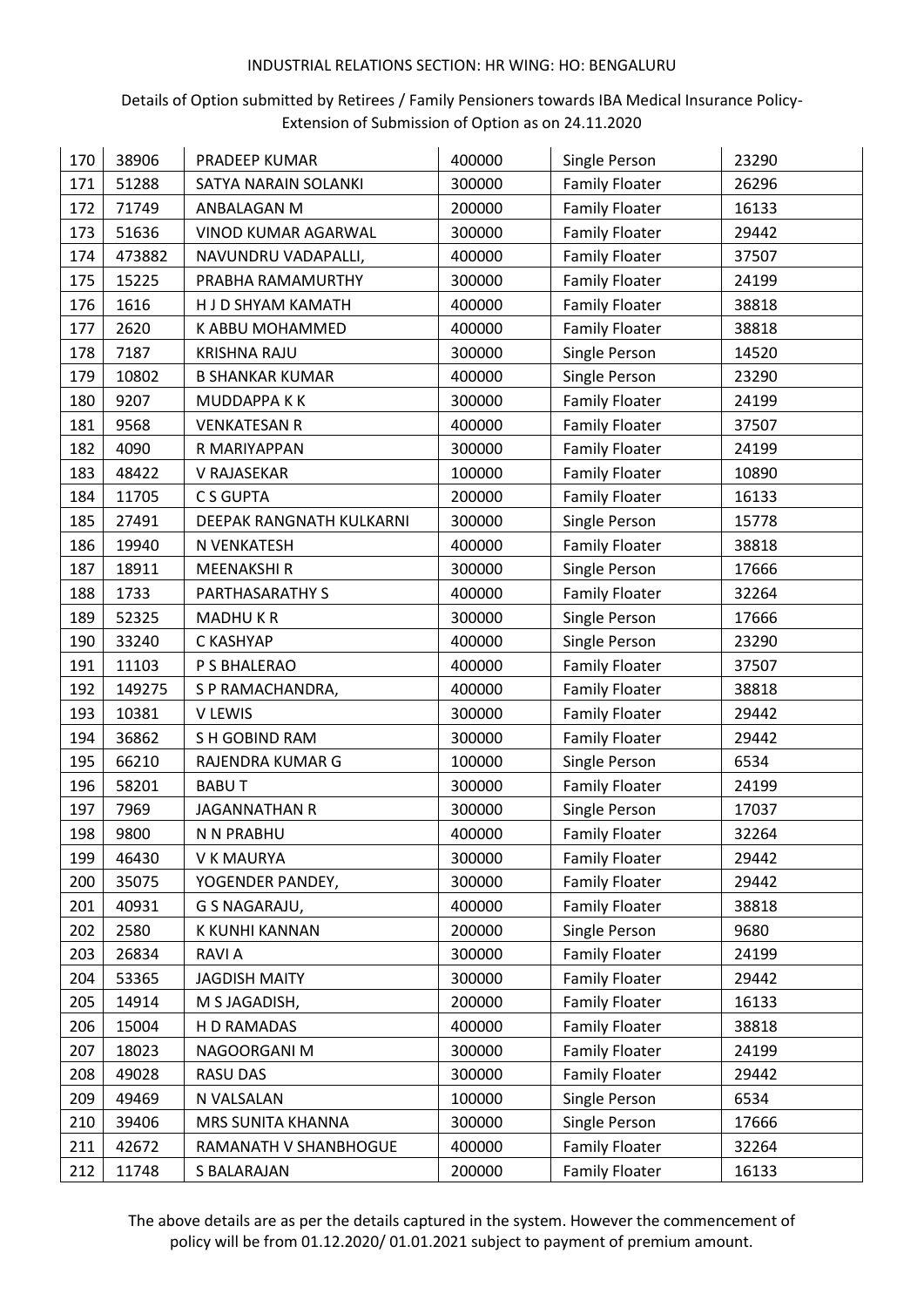## Details of Option submitted by Retirees / Family Pensioners towards IBA Medical Insurance Policy-Extension of Submission of Option as on 24.11.2020

| 170 | 38906  | PRADEEP KUMAR            | 400000 | Single Person         | 23290 |
|-----|--------|--------------------------|--------|-----------------------|-------|
| 171 | 51288  | SATYA NARAIN SOLANKI     | 300000 | <b>Family Floater</b> | 26296 |
| 172 | 71749  | ANBALAGAN M              | 200000 | <b>Family Floater</b> | 16133 |
| 173 | 51636  | VINOD KUMAR AGARWAL      | 300000 | <b>Family Floater</b> | 29442 |
| 174 | 473882 | NAVUNDRU VADAPALLI,      | 400000 | <b>Family Floater</b> | 37507 |
| 175 | 15225  | PRABHA RAMAMURTHY        | 300000 | <b>Family Floater</b> | 24199 |
| 176 | 1616   | H J D SHYAM KAMATH       | 400000 | <b>Family Floater</b> | 38818 |
| 177 | 2620   | K ABBU MOHAMMED          | 400000 | <b>Family Floater</b> | 38818 |
| 178 | 7187   | <b>KRISHNA RAJU</b>      | 300000 | Single Person         | 14520 |
| 179 | 10802  | <b>B SHANKAR KUMAR</b>   | 400000 | Single Person         | 23290 |
| 180 | 9207   | MUDDAPPA KK              | 300000 | <b>Family Floater</b> | 24199 |
| 181 | 9568   | <b>VENKATESAN R</b>      | 400000 | <b>Family Floater</b> | 37507 |
| 182 | 4090   | R MARIYAPPAN             | 300000 | <b>Family Floater</b> | 24199 |
| 183 | 48422  | V RAJASEKAR              | 100000 | <b>Family Floater</b> | 10890 |
| 184 | 11705  | C S GUPTA                | 200000 | <b>Family Floater</b> | 16133 |
| 185 | 27491  | DEEPAK RANGNATH KULKARNI | 300000 | Single Person         | 15778 |
| 186 | 19940  | N VENKATESH              | 400000 | <b>Family Floater</b> | 38818 |
| 187 | 18911  | <b>MEENAKSHIR</b>        | 300000 | Single Person         | 17666 |
| 188 | 1733   | PARTHASARATHY S          | 400000 | <b>Family Floater</b> | 32264 |
| 189 | 52325  | <b>MADHUKR</b>           | 300000 | Single Person         | 17666 |
| 190 | 33240  | C KASHYAP                | 400000 | Single Person         | 23290 |
| 191 | 11103  | P S BHALERAO             | 400000 | <b>Family Floater</b> | 37507 |
| 192 | 149275 | S P RAMACHANDRA,         | 400000 | <b>Family Floater</b> | 38818 |
| 193 | 10381  | V LEWIS                  | 300000 | <b>Family Floater</b> | 29442 |
| 194 | 36862  | S H GOBIND RAM           | 300000 | <b>Family Floater</b> | 29442 |
| 195 | 66210  | RAJENDRA KUMAR G         | 100000 | Single Person         | 6534  |
| 196 | 58201  | <b>BABUT</b>             | 300000 | <b>Family Floater</b> | 24199 |
| 197 | 7969   | <b>JAGANNATHAN R</b>     | 300000 | Single Person         | 17037 |
| 198 | 9800   | N N PRABHU               | 400000 | <b>Family Floater</b> | 32264 |
| 199 | 46430  | V K MAURYA               | 300000 | <b>Family Floater</b> | 29442 |
| 200 | 35075  | YOGENDER PANDEY,         | 300000 | <b>Family Floater</b> | 29442 |
| 201 | 40931  | G S NAGARAJU,            | 400000 | <b>Family Floater</b> | 38818 |
| 202 | 2580   | K KUNHI KANNAN           | 200000 | Single Person         | 9680  |
| 203 | 26834  | <b>RAVIA</b>             | 300000 | <b>Family Floater</b> | 24199 |
| 204 | 53365  | <b>JAGDISH MAITY</b>     | 300000 | <b>Family Floater</b> | 29442 |
| 205 | 14914  | M S JAGADISH,            | 200000 | <b>Family Floater</b> | 16133 |
| 206 | 15004  | H D RAMADAS              | 400000 | <b>Family Floater</b> | 38818 |
| 207 | 18023  | NAGOORGANI M             | 300000 | <b>Family Floater</b> | 24199 |
| 208 | 49028  | RASU DAS                 | 300000 | <b>Family Floater</b> | 29442 |
| 209 | 49469  | N VALSALAN               | 100000 | Single Person         | 6534  |
| 210 | 39406  | MRS SUNITA KHANNA        | 300000 | Single Person         | 17666 |
| 211 | 42672  | RAMANATH V SHANBHOGUE    | 400000 | <b>Family Floater</b> | 32264 |
| 212 | 11748  | S BALARAJAN              | 200000 | <b>Family Floater</b> | 16133 |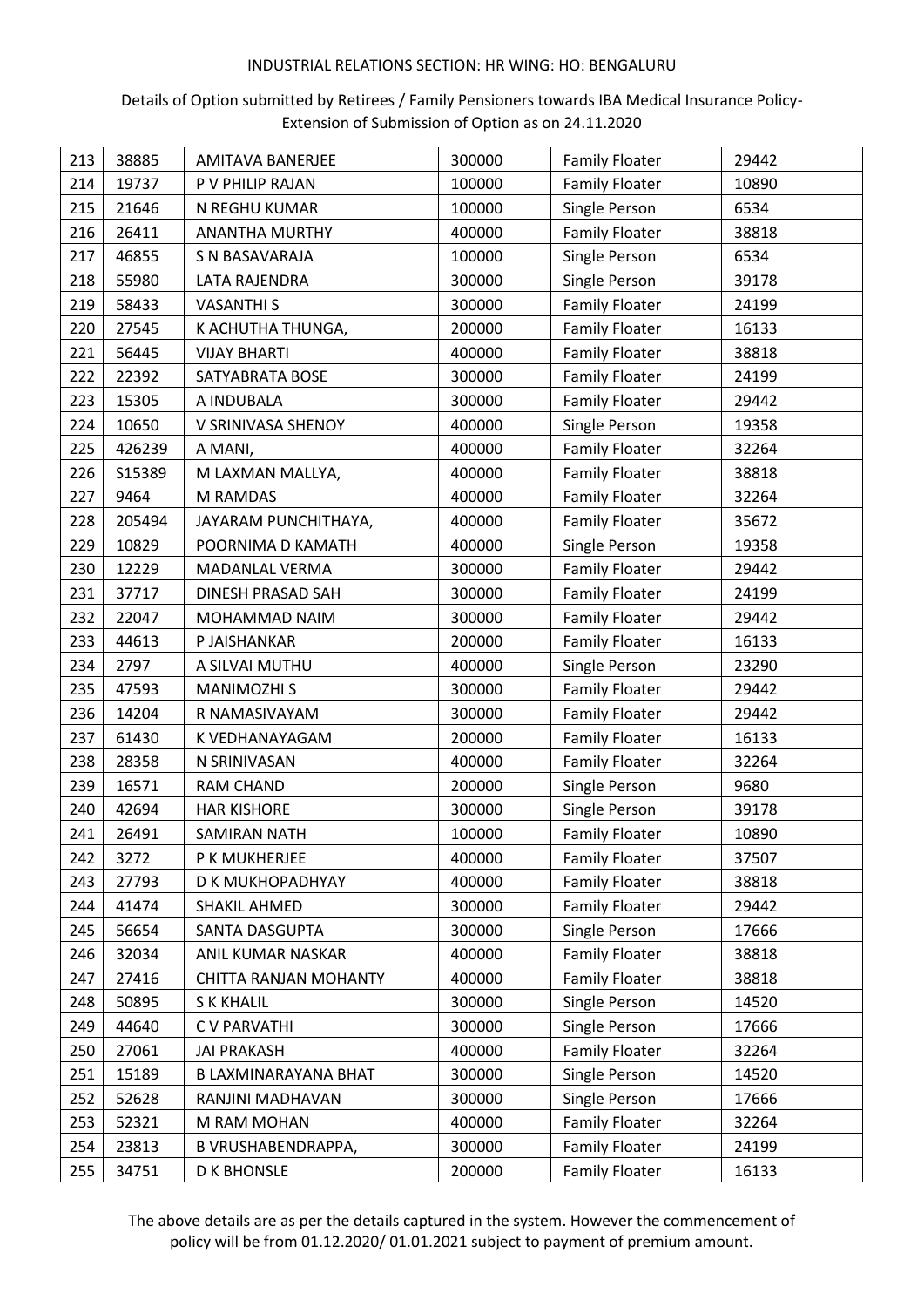## Details of Option submitted by Retirees / Family Pensioners towards IBA Medical Insurance Policy-Extension of Submission of Option as on 24.11.2020

| 213 | 38885  | <b>AMITAVA BANERJEE</b> | 300000 | <b>Family Floater</b> | 29442 |
|-----|--------|-------------------------|--------|-----------------------|-------|
| 214 | 19737  | P V PHILIP RAJAN        | 100000 | <b>Family Floater</b> | 10890 |
| 215 | 21646  | N REGHU KUMAR           | 100000 | Single Person         | 6534  |
| 216 | 26411  | <b>ANANTHA MURTHY</b>   | 400000 | <b>Family Floater</b> | 38818 |
| 217 | 46855  | S N BASAVARAJA          | 100000 | Single Person         | 6534  |
| 218 | 55980  | LATA RAJENDRA           | 300000 | Single Person         | 39178 |
| 219 | 58433  | <b>VASANTHI S</b>       | 300000 | <b>Family Floater</b> | 24199 |
| 220 | 27545  | K ACHUTHA THUNGA,       | 200000 | <b>Family Floater</b> | 16133 |
| 221 | 56445  | <b>VIJAY BHARTI</b>     | 400000 | <b>Family Floater</b> | 38818 |
| 222 | 22392  | SATYABRATA BOSE         | 300000 | <b>Family Floater</b> | 24199 |
| 223 | 15305  | A INDUBALA              | 300000 | <b>Family Floater</b> | 29442 |
| 224 | 10650  | V SRINIVASA SHENOY      | 400000 | Single Person         | 19358 |
| 225 | 426239 | A MANI,                 | 400000 | <b>Family Floater</b> | 32264 |
| 226 | S15389 | M LAXMAN MALLYA,        | 400000 | <b>Family Floater</b> | 38818 |
| 227 | 9464   | M RAMDAS                | 400000 | <b>Family Floater</b> | 32264 |
| 228 | 205494 | JAYARAM PUNCHITHAYA,    | 400000 | <b>Family Floater</b> | 35672 |
| 229 | 10829  | POORNIMA D KAMATH       | 400000 | Single Person         | 19358 |
| 230 | 12229  | MADANLAL VERMA          | 300000 | <b>Family Floater</b> | 29442 |
| 231 | 37717  | DINESH PRASAD SAH       | 300000 | <b>Family Floater</b> | 24199 |
| 232 | 22047  | MOHAMMAD NAIM           | 300000 | <b>Family Floater</b> | 29442 |
| 233 | 44613  | P JAISHANKAR            | 200000 | <b>Family Floater</b> | 16133 |
| 234 | 2797   | A SILVAI MUTHU          | 400000 | Single Person         | 23290 |
| 235 | 47593  | <b>MANIMOZHI S</b>      | 300000 | <b>Family Floater</b> | 29442 |
| 236 | 14204  | R NAMASIVAYAM           | 300000 | <b>Family Floater</b> | 29442 |
| 237 | 61430  | K VEDHANAYAGAM          | 200000 | <b>Family Floater</b> | 16133 |
| 238 | 28358  | N SRINIVASAN            | 400000 | <b>Family Floater</b> | 32264 |
| 239 | 16571  | <b>RAM CHAND</b>        | 200000 | Single Person         | 9680  |
| 240 | 42694  | <b>HAR KISHORE</b>      | 300000 | Single Person         | 39178 |
| 241 | 26491  | <b>SAMIRAN NATH</b>     | 100000 | <b>Family Floater</b> | 10890 |
| 242 | 3272   | P K MUKHERJEE           | 400000 | <b>Family Floater</b> | 37507 |
| 243 | 27793  | D K MUKHOPADHYAY        | 400000 | <b>Family Floater</b> | 38818 |
| 244 | 41474  | SHAKIL AHMED            | 300000 | <b>Family Floater</b> | 29442 |
| 245 | 56654  | SANTA DASGUPTA          | 300000 | Single Person         | 17666 |
| 246 | 32034  | ANIL KUMAR NASKAR       | 400000 | <b>Family Floater</b> | 38818 |
| 247 | 27416  | CHITTA RANJAN MOHANTY   | 400000 | <b>Family Floater</b> | 38818 |
| 248 | 50895  | <b>SK KHALIL</b>        | 300000 | Single Person         | 14520 |
| 249 | 44640  | C V PARVATHI            | 300000 | Single Person         | 17666 |
| 250 | 27061  | <b>JAI PRAKASH</b>      | 400000 | <b>Family Floater</b> | 32264 |
| 251 | 15189  | B LAXMINARAYANA BHAT    | 300000 | Single Person         | 14520 |
| 252 | 52628  | RANJINI MADHAVAN        | 300000 | Single Person         | 17666 |
| 253 | 52321  | M RAM MOHAN             | 400000 | <b>Family Floater</b> | 32264 |
| 254 | 23813  | B VRUSHABENDRAPPA,      | 300000 | <b>Family Floater</b> | 24199 |
| 255 | 34751  | <b>D K BHONSLE</b>      | 200000 | <b>Family Floater</b> | 16133 |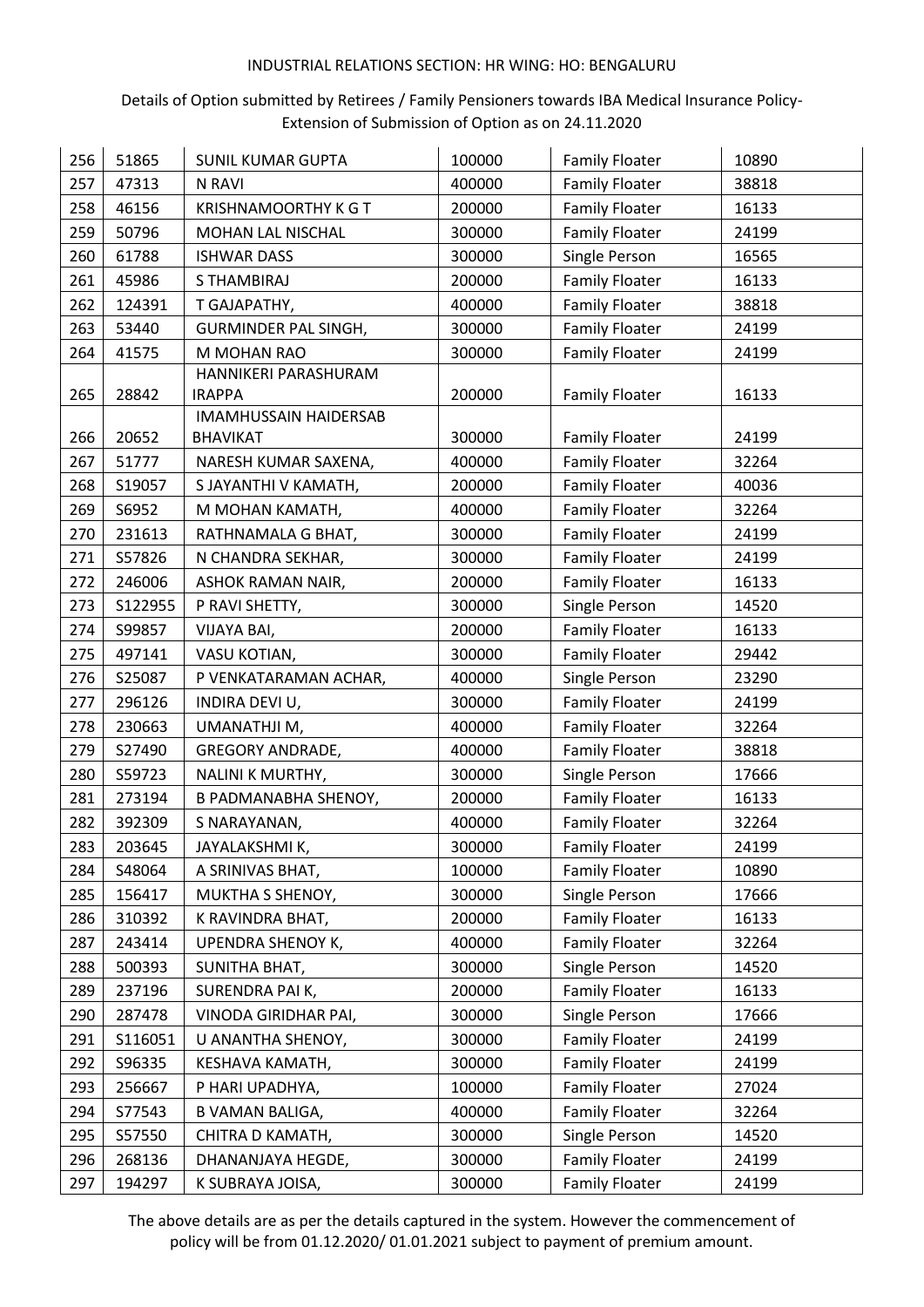## Details of Option submitted by Retirees / Family Pensioners towards IBA Medical Insurance Policy-Extension of Submission of Option as on 24.11.2020

| 256 | 51865   | <b>SUNIL KUMAR GUPTA</b>     | 100000 | <b>Family Floater</b> | 10890 |
|-----|---------|------------------------------|--------|-----------------------|-------|
| 257 | 47313   | N RAVI                       | 400000 | <b>Family Floater</b> | 38818 |
| 258 | 46156   | <b>KRISHNAMOORTHY K G T</b>  | 200000 | <b>Family Floater</b> | 16133 |
| 259 | 50796   | MOHAN LAL NISCHAL            | 300000 | <b>Family Floater</b> | 24199 |
| 260 | 61788   | <b>ISHWAR DASS</b>           | 300000 | Single Person         | 16565 |
| 261 | 45986   | <b>STHAMBIRAJ</b>            | 200000 | <b>Family Floater</b> | 16133 |
| 262 | 124391  | T GAJAPATHY,                 | 400000 | <b>Family Floater</b> | 38818 |
| 263 | 53440   | GURMINDER PAL SINGH,         | 300000 | <b>Family Floater</b> | 24199 |
| 264 | 41575   | M MOHAN RAO                  | 300000 | <b>Family Floater</b> | 24199 |
|     |         | HANNIKERI PARASHURAM         |        |                       |       |
| 265 | 28842   | <b>IRAPPA</b>                | 200000 | <b>Family Floater</b> | 16133 |
|     |         | <b>IMAMHUSSAIN HAIDERSAB</b> |        |                       |       |
| 266 | 20652   | <b>BHAVIKAT</b>              | 300000 | <b>Family Floater</b> | 24199 |
| 267 | 51777   | NARESH KUMAR SAXENA,         | 400000 | <b>Family Floater</b> | 32264 |
| 268 | S19057  | S JAYANTHI V KAMATH,         | 200000 | <b>Family Floater</b> | 40036 |
| 269 | S6952   | M MOHAN KAMATH,              | 400000 | <b>Family Floater</b> | 32264 |
| 270 | 231613  | RATHNAMALA G BHAT,           | 300000 | <b>Family Floater</b> | 24199 |
| 271 | S57826  | N CHANDRA SEKHAR,            | 300000 | <b>Family Floater</b> | 24199 |
| 272 | 246006  | ASHOK RAMAN NAIR,            | 200000 | <b>Family Floater</b> | 16133 |
| 273 | S122955 | P RAVI SHETTY,               | 300000 | Single Person         | 14520 |
| 274 | S99857  | VIJAYA BAI,                  | 200000 | <b>Family Floater</b> | 16133 |
| 275 | 497141  | VASU KOTIAN,                 | 300000 | <b>Family Floater</b> | 29442 |
| 276 | S25087  | P VENKATARAMAN ACHAR,        | 400000 | Single Person         | 23290 |
| 277 | 296126  | INDIRA DEVI U,               | 300000 | <b>Family Floater</b> | 24199 |
| 278 | 230663  | UMANATHJI M,                 | 400000 | <b>Family Floater</b> | 32264 |
| 279 | S27490  | GREGORY ANDRADE,             | 400000 | <b>Family Floater</b> | 38818 |
| 280 | S59723  | NALINI K MURTHY,             | 300000 | Single Person         | 17666 |
| 281 | 273194  | <b>B PADMANABHA SHENOY,</b>  | 200000 | <b>Family Floater</b> | 16133 |
| 282 | 392309  | S NARAYANAN,                 | 400000 | <b>Family Floater</b> | 32264 |
| 283 | 203645  | JAYALAKSHMI K,               | 300000 | <b>Family Floater</b> | 24199 |
| 284 | S48064  | A SRINIVAS BHAT,             | 100000 | <b>Family Floater</b> | 10890 |
| 285 | 156417  | MUKTHA S SHENOY,             | 300000 | Single Person         | 17666 |
| 286 | 310392  | K RAVINDRA BHAT,             | 200000 | <b>Family Floater</b> | 16133 |
| 287 | 243414  | <b>UPENDRA SHENOY K,</b>     | 400000 | <b>Family Floater</b> | 32264 |
| 288 | 500393  | SUNITHA BHAT,                | 300000 | Single Person         | 14520 |
| 289 | 237196  | SURENDRA PAI K,              | 200000 | <b>Family Floater</b> | 16133 |
| 290 | 287478  | VINODA GIRIDHAR PAI,         | 300000 | Single Person         | 17666 |
| 291 | S116051 | U ANANTHA SHENOY,            | 300000 | <b>Family Floater</b> | 24199 |
| 292 | S96335  | KESHAVA KAMATH,              | 300000 | <b>Family Floater</b> | 24199 |
| 293 | 256667  | P HARI UPADHYA,              | 100000 | <b>Family Floater</b> | 27024 |
| 294 | S77543  | <b>B VAMAN BALIGA,</b>       | 400000 | <b>Family Floater</b> | 32264 |
| 295 | S57550  | CHITRA D KAMATH,             | 300000 | Single Person         | 14520 |
| 296 | 268136  | DHANANJAYA HEGDE,            | 300000 | <b>Family Floater</b> | 24199 |
| 297 | 194297  | K SUBRAYA JOISA,             | 300000 | <b>Family Floater</b> | 24199 |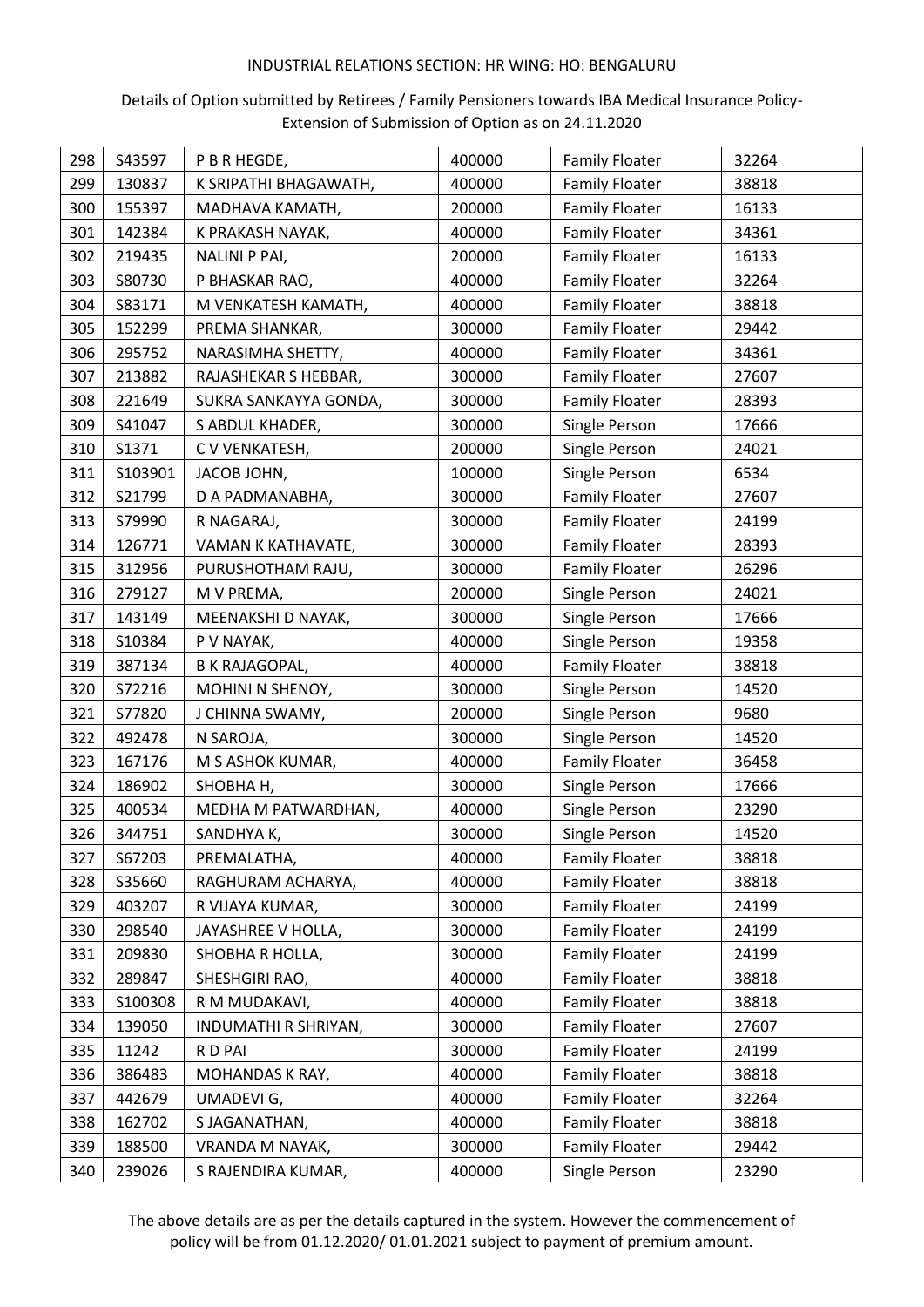## Details of Option submitted by Retirees / Family Pensioners towards IBA Medical Insurance Policy-Extension of Submission of Option as on 24.11.2020

| 298 | S43597  | P B R HEGDE,          | 400000 | <b>Family Floater</b> | 32264 |
|-----|---------|-----------------------|--------|-----------------------|-------|
| 299 | 130837  | K SRIPATHI BHAGAWATH, | 400000 | <b>Family Floater</b> | 38818 |
| 300 | 155397  | MADHAVA KAMATH,       | 200000 | <b>Family Floater</b> | 16133 |
| 301 | 142384  | K PRAKASH NAYAK,      | 400000 | <b>Family Floater</b> | 34361 |
| 302 | 219435  | NALINI P PAI,         | 200000 | <b>Family Floater</b> | 16133 |
| 303 | S80730  | P BHASKAR RAO,        | 400000 | <b>Family Floater</b> | 32264 |
| 304 | S83171  | M VENKATESH KAMATH,   | 400000 | <b>Family Floater</b> | 38818 |
| 305 | 152299  | PREMA SHANKAR,        | 300000 | <b>Family Floater</b> | 29442 |
| 306 | 295752  | NARASIMHA SHETTY,     | 400000 | <b>Family Floater</b> | 34361 |
| 307 | 213882  | RAJASHEKAR S HEBBAR,  | 300000 | <b>Family Floater</b> | 27607 |
| 308 | 221649  | SUKRA SANKAYYA GONDA, | 300000 | <b>Family Floater</b> | 28393 |
| 309 | S41047  | S ABDUL KHADER,       | 300000 | Single Person         | 17666 |
| 310 | S1371   | C V VENKATESH,        | 200000 | Single Person         | 24021 |
| 311 | S103901 | JACOB JOHN,           | 100000 | Single Person         | 6534  |
| 312 | S21799  | D A PADMANABHA,       | 300000 | <b>Family Floater</b> | 27607 |
| 313 | S79990  | R NAGARAJ,            | 300000 | <b>Family Floater</b> | 24199 |
| 314 | 126771  | VAMAN K KATHAVATE,    | 300000 | <b>Family Floater</b> | 28393 |
| 315 | 312956  | PURUSHOTHAM RAJU,     | 300000 | <b>Family Floater</b> | 26296 |
| 316 | 279127  | M V PREMA,            | 200000 | Single Person         | 24021 |
| 317 | 143149  | MEENAKSHI D NAYAK,    | 300000 | Single Person         | 17666 |
| 318 | S10384  | P V NAYAK,            | 400000 | Single Person         | 19358 |
| 319 | 387134  | <b>B K RAJAGOPAL,</b> | 400000 | <b>Family Floater</b> | 38818 |
| 320 | S72216  | MOHINI N SHENOY,      | 300000 | Single Person         | 14520 |
| 321 | S77820  | J CHINNA SWAMY,       | 200000 | Single Person         | 9680  |
| 322 | 492478  | N SAROJA,             | 300000 | Single Person         | 14520 |
| 323 | 167176  | M S ASHOK KUMAR,      | 400000 | <b>Family Floater</b> | 36458 |
| 324 | 186902  | <b>SHOBHA H,</b>      | 300000 | Single Person         | 17666 |
| 325 | 400534  | MEDHA M PATWARDHAN,   | 400000 | Single Person         | 23290 |
| 326 | 344751  | SANDHYA K,            | 300000 | Single Person         | 14520 |
| 327 | S67203  | PREMALATHA,           | 400000 | <b>Family Floater</b> | 38818 |
| 328 | S35660  | RAGHURAM ACHARYA,     | 400000 | <b>Family Floater</b> | 38818 |
| 329 | 403207  | R VIJAYA KUMAR,       | 300000 | <b>Family Floater</b> | 24199 |
| 330 | 298540  | JAYASHREE V HOLLA,    | 300000 | <b>Family Floater</b> | 24199 |
| 331 | 209830  | SHOBHA R HOLLA,       | 300000 | <b>Family Floater</b> | 24199 |
| 332 | 289847  | SHESHGIRI RAO,        | 400000 | <b>Family Floater</b> | 38818 |
| 333 | S100308 | R M MUDAKAVI,         | 400000 | <b>Family Floater</b> | 38818 |
| 334 | 139050  | INDUMATHI R SHRIYAN,  | 300000 | <b>Family Floater</b> | 27607 |
| 335 | 11242   | R D PAI               | 300000 | <b>Family Floater</b> | 24199 |
| 336 | 386483  | MOHANDAS K RAY,       | 400000 | <b>Family Floater</b> | 38818 |
| 337 | 442679  | UMADEVI G,            | 400000 | <b>Family Floater</b> | 32264 |
| 338 | 162702  | S JAGANATHAN,         | 400000 | <b>Family Floater</b> | 38818 |
| 339 | 188500  | VRANDA M NAYAK,       | 300000 | <b>Family Floater</b> | 29442 |
| 340 | 239026  | S RAJENDIRA KUMAR,    | 400000 | Single Person         | 23290 |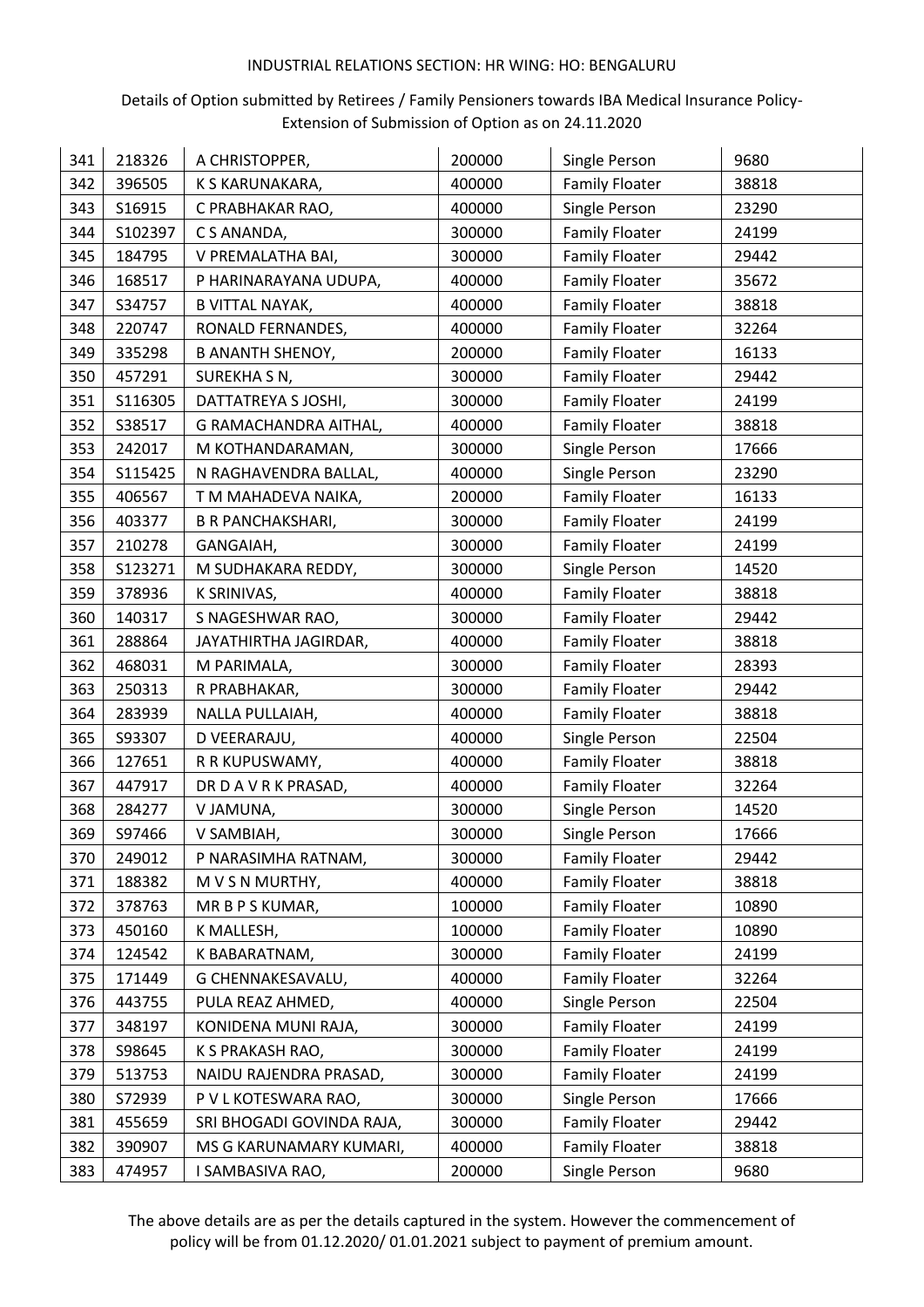## Details of Option submitted by Retirees / Family Pensioners towards IBA Medical Insurance Policy-Extension of Submission of Option as on 24.11.2020

| 341 | 218326  | A CHRISTOPPER,            | 200000 | Single Person         | 9680  |
|-----|---------|---------------------------|--------|-----------------------|-------|
| 342 | 396505  | K S KARUNAKARA,           | 400000 | <b>Family Floater</b> | 38818 |
| 343 | S16915  | C PRABHAKAR RAO,          | 400000 | Single Person         | 23290 |
| 344 | S102397 | C S ANANDA,               | 300000 | <b>Family Floater</b> | 24199 |
| 345 | 184795  | V PREMALATHA BAI,         | 300000 | <b>Family Floater</b> | 29442 |
| 346 | 168517  | P HARINARAYANA UDUPA,     | 400000 | <b>Family Floater</b> | 35672 |
| 347 | S34757  | <b>B VITTAL NAYAK,</b>    | 400000 | <b>Family Floater</b> | 38818 |
| 348 | 220747  | RONALD FERNANDES,         | 400000 | <b>Family Floater</b> | 32264 |
| 349 | 335298  | <b>B ANANTH SHENOY,</b>   | 200000 | <b>Family Floater</b> | 16133 |
| 350 | 457291  | SUREKHA S N,              | 300000 | <b>Family Floater</b> | 29442 |
| 351 | S116305 | DATTATREYA S JOSHI,       | 300000 | <b>Family Floater</b> | 24199 |
| 352 | S38517  | G RAMACHANDRA AITHAL,     | 400000 | <b>Family Floater</b> | 38818 |
| 353 | 242017  | M KOTHANDARAMAN,          | 300000 | Single Person         | 17666 |
| 354 | S115425 | N RAGHAVENDRA BALLAL,     | 400000 | Single Person         | 23290 |
| 355 | 406567  | T M MAHADEVA NAIKA,       | 200000 | <b>Family Floater</b> | 16133 |
| 356 | 403377  | <b>B R PANCHAKSHARI,</b>  | 300000 | <b>Family Floater</b> | 24199 |
| 357 | 210278  | GANGAIAH,                 | 300000 | <b>Family Floater</b> | 24199 |
| 358 | S123271 | M SUDHAKARA REDDY,        | 300000 | Single Person         | 14520 |
| 359 | 378936  | K SRINIVAS,               | 400000 | <b>Family Floater</b> | 38818 |
| 360 | 140317  | S NAGESHWAR RAO,          | 300000 | <b>Family Floater</b> | 29442 |
| 361 | 288864  | JAYATHIRTHA JAGIRDAR,     | 400000 | <b>Family Floater</b> | 38818 |
| 362 | 468031  | M PARIMALA,               | 300000 | <b>Family Floater</b> | 28393 |
| 363 | 250313  | R PRABHAKAR,              | 300000 | <b>Family Floater</b> | 29442 |
| 364 | 283939  | NALLA PULLAIAH,           | 400000 | <b>Family Floater</b> | 38818 |
| 365 | S93307  | D VEERARAJU,              | 400000 | Single Person         | 22504 |
| 366 | 127651  | R R KUPUSWAMY,            | 400000 | <b>Family Floater</b> | 38818 |
| 367 | 447917  | DR D A V R K PRASAD,      | 400000 | <b>Family Floater</b> | 32264 |
| 368 | 284277  | V JAMUNA,                 | 300000 | Single Person         | 14520 |
| 369 | S97466  | V SAMBIAH,                | 300000 | Single Person         | 17666 |
| 370 | 249012  | P NARASIMHA RATNAM,       | 300000 | <b>Family Floater</b> | 29442 |
| 371 | 188382  | M V S N MURTHY,           | 400000 | <b>Family Floater</b> | 38818 |
| 372 | 378763  | MR B P S KUMAR,           | 100000 | <b>Family Floater</b> | 10890 |
| 373 | 450160  | K MALLESH,                | 100000 | <b>Family Floater</b> | 10890 |
| 374 | 124542  | K BABARATNAM,             | 300000 | <b>Family Floater</b> | 24199 |
| 375 | 171449  | G CHENNAKESAVALU,         | 400000 | <b>Family Floater</b> | 32264 |
| 376 | 443755  | PULA REAZ AHMED,          | 400000 | Single Person         | 22504 |
| 377 | 348197  | KONIDENA MUNI RAJA,       | 300000 | <b>Family Floater</b> | 24199 |
| 378 | S98645  | K S PRAKASH RAO,          | 300000 | <b>Family Floater</b> | 24199 |
| 379 | 513753  | NAIDU RAJENDRA PRASAD,    | 300000 | <b>Family Floater</b> | 24199 |
| 380 | S72939  | P V L KOTESWARA RAO,      | 300000 | Single Person         | 17666 |
| 381 | 455659  | SRI BHOGADI GOVINDA RAJA, | 300000 | <b>Family Floater</b> | 29442 |
| 382 | 390907  | MS G KARUNAMARY KUMARI,   | 400000 | <b>Family Floater</b> | 38818 |
| 383 | 474957  | I SAMBASIVA RAO,          | 200000 | Single Person         | 9680  |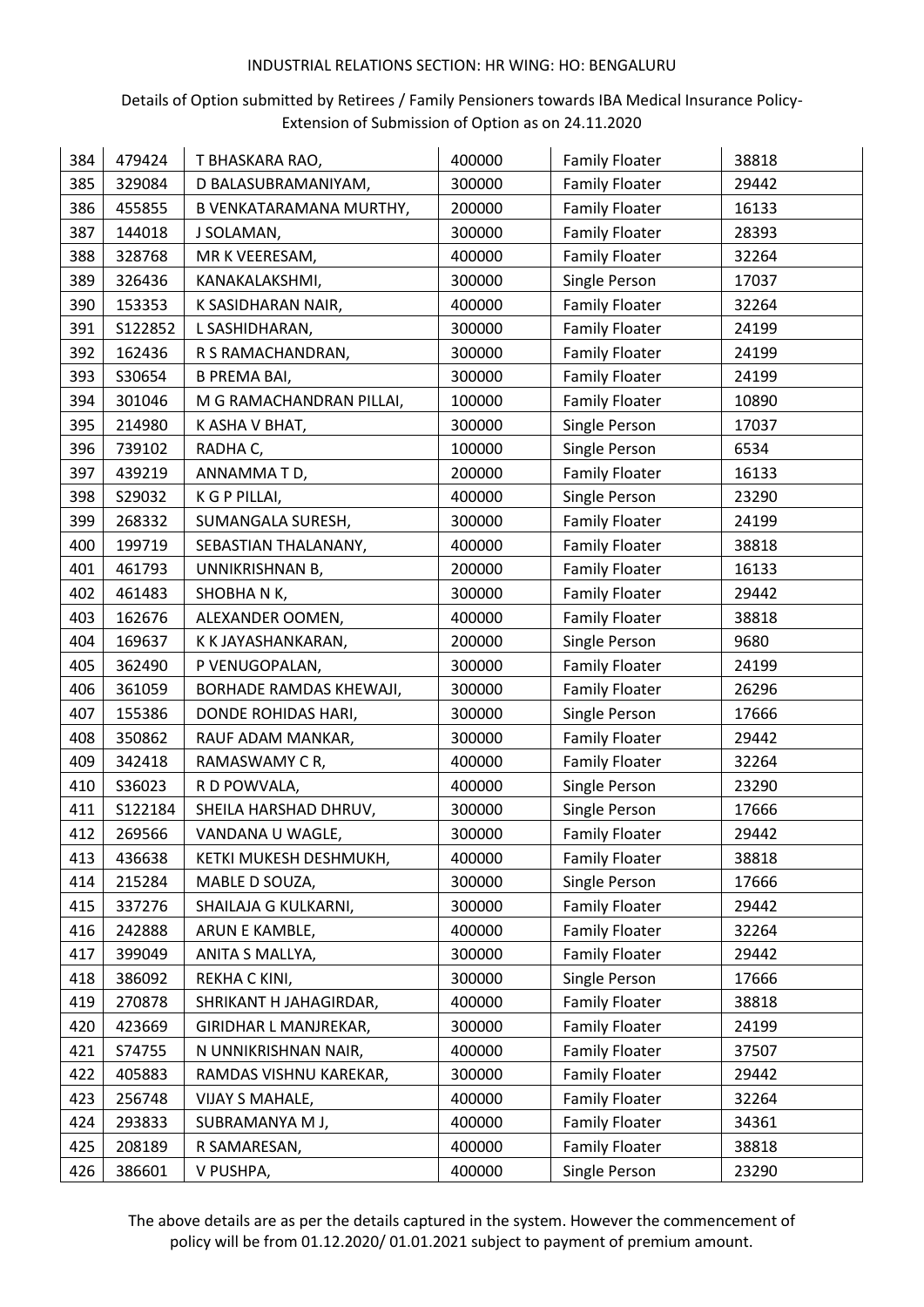## Details of Option submitted by Retirees / Family Pensioners towards IBA Medical Insurance Policy-Extension of Submission of Option as on 24.11.2020

| 384 | 479424  | T BHASKARA RAO,          | 400000 | <b>Family Floater</b> | 38818 |
|-----|---------|--------------------------|--------|-----------------------|-------|
| 385 | 329084  | D BALASUBRAMANIYAM,      | 300000 | <b>Family Floater</b> | 29442 |
| 386 | 455855  | B VENKATARAMANA MURTHY,  | 200000 | <b>Family Floater</b> | 16133 |
| 387 | 144018  | J SOLAMAN,               | 300000 | <b>Family Floater</b> | 28393 |
| 388 | 328768  | MR K VEERESAM,           | 400000 | <b>Family Floater</b> | 32264 |
| 389 | 326436  | KANAKALAKSHMI,           | 300000 | Single Person         | 17037 |
| 390 | 153353  | K SASIDHARAN NAIR,       | 400000 | <b>Family Floater</b> | 32264 |
| 391 | S122852 | L SASHIDHARAN,           | 300000 | <b>Family Floater</b> | 24199 |
| 392 | 162436  | R S RAMACHANDRAN,        | 300000 | <b>Family Floater</b> | 24199 |
| 393 | S30654  | <b>B PREMA BAI,</b>      | 300000 | <b>Family Floater</b> | 24199 |
| 394 | 301046  | M G RAMACHANDRAN PILLAI, | 100000 | <b>Family Floater</b> | 10890 |
| 395 | 214980  | K ASHA V BHAT,           | 300000 | Single Person         | 17037 |
| 396 | 739102  | RADHA C,                 | 100000 | Single Person         | 6534  |
| 397 | 439219  | ANNAMMATD,               | 200000 | <b>Family Floater</b> | 16133 |
| 398 | S29032  | K G P PILLAI,            | 400000 | Single Person         | 23290 |
| 399 | 268332  | SUMANGALA SURESH,        | 300000 | <b>Family Floater</b> | 24199 |
| 400 | 199719  | SEBASTIAN THALANANY,     | 400000 | <b>Family Floater</b> | 38818 |
| 401 | 461793  | UNNIKRISHNAN B,          | 200000 | <b>Family Floater</b> | 16133 |
| 402 | 461483  | SHOBHANK,                | 300000 | <b>Family Floater</b> | 29442 |
| 403 | 162676  | ALEXANDER OOMEN,         | 400000 | <b>Family Floater</b> | 38818 |
| 404 | 169637  | K K JAYASHANKARAN,       | 200000 | Single Person         | 9680  |
| 405 | 362490  | P VENUGOPALAN,           | 300000 | <b>Family Floater</b> | 24199 |
| 406 | 361059  | BORHADE RAMDAS KHEWAJI,  | 300000 | <b>Family Floater</b> | 26296 |
| 407 | 155386  | DONDE ROHIDAS HARI,      | 300000 | Single Person         | 17666 |
| 408 | 350862  | RAUF ADAM MANKAR,        | 300000 | <b>Family Floater</b> | 29442 |
| 409 | 342418  | RAMASWAMY CR,            | 400000 | <b>Family Floater</b> | 32264 |
| 410 | S36023  | R D POWVALA,             | 400000 | Single Person         | 23290 |
| 411 | S122184 | SHEILA HARSHAD DHRUV,    | 300000 | Single Person         | 17666 |
| 412 | 269566  | VANDANA U WAGLE,         | 300000 | <b>Family Floater</b> | 29442 |
| 413 | 436638  | KETKI MUKESH DESHMUKH,   | 400000 | <b>Family Floater</b> | 38818 |
| 414 | 215284  | MABLE D SOUZA,           | 300000 | Single Person         | 17666 |
| 415 | 337276  | SHAILAJA G KULKARNI,     | 300000 | <b>Family Floater</b> | 29442 |
| 416 | 242888  | ARUN E KAMBLE,           | 400000 | <b>Family Floater</b> | 32264 |
| 417 | 399049  | ANITA S MALLYA,          | 300000 | <b>Family Floater</b> | 29442 |
| 418 | 386092  | REKHA C KINI,            | 300000 | Single Person         | 17666 |
| 419 | 270878  | SHRIKANT H JAHAGIRDAR,   | 400000 | <b>Family Floater</b> | 38818 |
| 420 | 423669  | GIRIDHAR L MANJREKAR,    | 300000 | <b>Family Floater</b> | 24199 |
| 421 | S74755  | N UNNIKRISHNAN NAIR,     | 400000 | <b>Family Floater</b> | 37507 |
| 422 | 405883  | RAMDAS VISHNU KAREKAR,   | 300000 | <b>Family Floater</b> | 29442 |
| 423 | 256748  | VIJAY S MAHALE,          | 400000 | <b>Family Floater</b> | 32264 |
| 424 | 293833  | SUBRAMANYA M J,          | 400000 | <b>Family Floater</b> | 34361 |
| 425 | 208189  | R SAMARESAN,             | 400000 | <b>Family Floater</b> | 38818 |
| 426 | 386601  | V PUSHPA,                | 400000 | Single Person         | 23290 |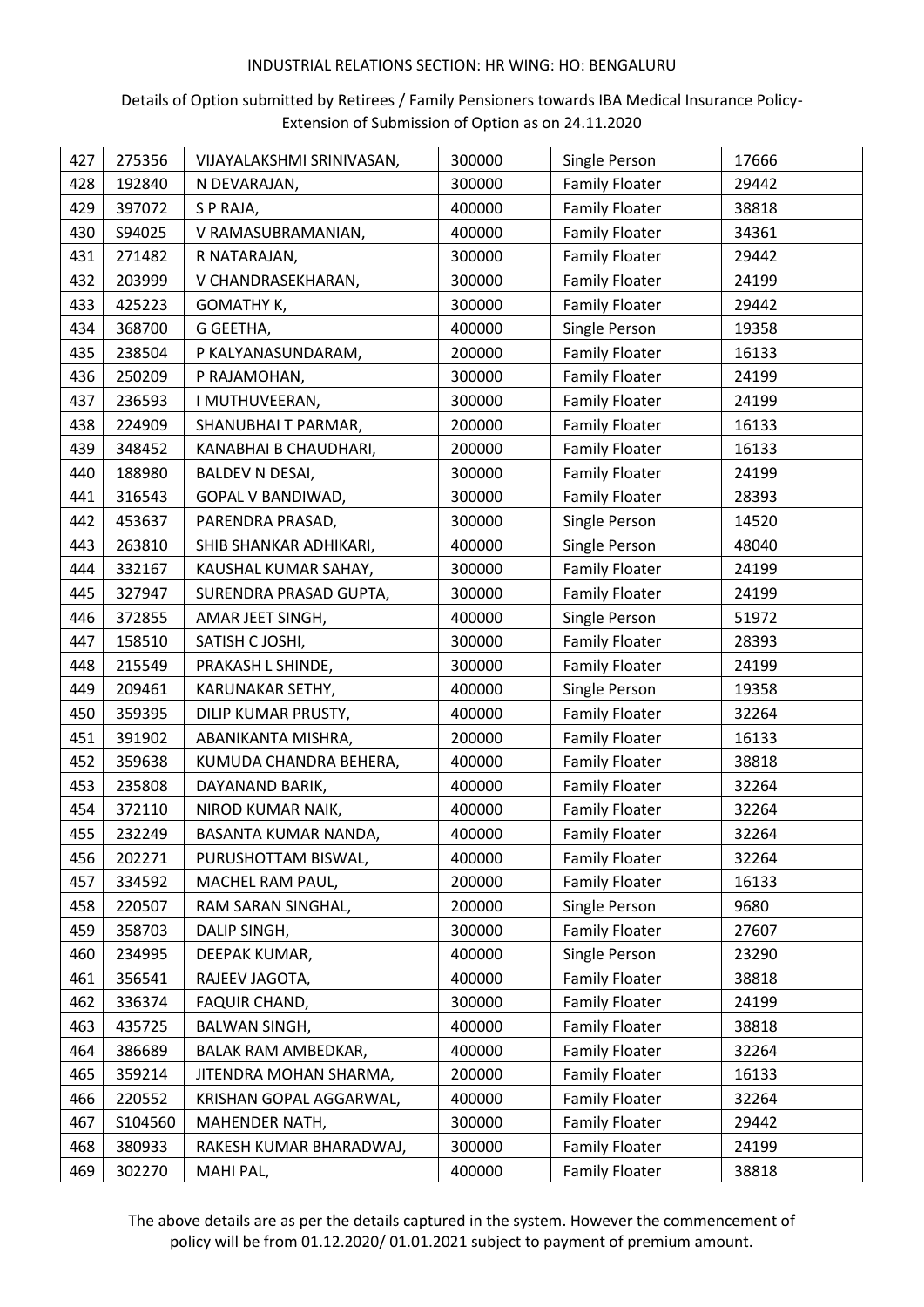## Details of Option submitted by Retirees / Family Pensioners towards IBA Medical Insurance Policy-Extension of Submission of Option as on 24.11.2020

| 427 | 275356  | VIJAYALAKSHMI SRINIVASAN, | 300000 | Single Person         | 17666 |
|-----|---------|---------------------------|--------|-----------------------|-------|
| 428 | 192840  | N DEVARAJAN,              | 300000 | <b>Family Floater</b> | 29442 |
| 429 | 397072  | S P RAJA,                 | 400000 | <b>Family Floater</b> | 38818 |
| 430 | S94025  | V RAMASUBRAMANIAN,        | 400000 | <b>Family Floater</b> | 34361 |
| 431 | 271482  | R NATARAJAN,              | 300000 | <b>Family Floater</b> | 29442 |
| 432 | 203999  | V CHANDRASEKHARAN,        | 300000 | <b>Family Floater</b> | 24199 |
| 433 | 425223  | GOMATHY K,                | 300000 | <b>Family Floater</b> | 29442 |
| 434 | 368700  | G GEETHA,                 | 400000 | Single Person         | 19358 |
| 435 | 238504  | P KALYANASUNDARAM,        | 200000 | <b>Family Floater</b> | 16133 |
| 436 | 250209  | P RAJAMOHAN,              | 300000 | <b>Family Floater</b> | 24199 |
| 437 | 236593  | I MUTHUVEERAN,            | 300000 | <b>Family Floater</b> | 24199 |
| 438 | 224909  | SHANUBHAI T PARMAR,       | 200000 | <b>Family Floater</b> | 16133 |
| 439 | 348452  | KANABHAI B CHAUDHARI,     | 200000 | <b>Family Floater</b> | 16133 |
| 440 | 188980  | <b>BALDEV N DESAI,</b>    | 300000 | <b>Family Floater</b> | 24199 |
| 441 | 316543  | GOPAL V BANDIWAD,         | 300000 | <b>Family Floater</b> | 28393 |
| 442 | 453637  | PARENDRA PRASAD,          | 300000 | Single Person         | 14520 |
| 443 | 263810  | SHIB SHANKAR ADHIKARI,    | 400000 | Single Person         | 48040 |
| 444 | 332167  | KAUSHAL KUMAR SAHAY,      | 300000 | <b>Family Floater</b> | 24199 |
| 445 | 327947  | SURENDRA PRASAD GUPTA,    | 300000 | <b>Family Floater</b> | 24199 |
| 446 | 372855  | AMAR JEET SINGH,          | 400000 | Single Person         | 51972 |
| 447 | 158510  | SATISH C JOSHI,           | 300000 | <b>Family Floater</b> | 28393 |
| 448 | 215549  | PRAKASH L SHINDE,         | 300000 | <b>Family Floater</b> | 24199 |
| 449 | 209461  | KARUNAKAR SETHY,          | 400000 | Single Person         | 19358 |
| 450 | 359395  | DILIP KUMAR PRUSTY,       | 400000 | <b>Family Floater</b> | 32264 |
| 451 | 391902  | ABANIKANTA MISHRA,        | 200000 | <b>Family Floater</b> | 16133 |
| 452 | 359638  | KUMUDA CHANDRA BEHERA,    | 400000 | <b>Family Floater</b> | 38818 |
| 453 | 235808  | DAYANAND BARIK,           | 400000 | <b>Family Floater</b> | 32264 |
| 454 | 372110  | NIROD KUMAR NAIK,         | 400000 | <b>Family Floater</b> | 32264 |
| 455 | 232249  | BASANTA KUMAR NANDA,      | 400000 | <b>Family Floater</b> | 32264 |
| 456 | 202271  | PURUSHOTTAM BISWAL,       | 400000 | <b>Family Floater</b> | 32264 |
| 457 | 334592  | MACHEL RAM PAUL,          | 200000 | <b>Family Floater</b> | 16133 |
| 458 | 220507  | RAM SARAN SINGHAL,        | 200000 | Single Person         | 9680  |
| 459 | 358703  | DALIP SINGH,              | 300000 | <b>Family Floater</b> | 27607 |
| 460 | 234995  | DEEPAK KUMAR,             | 400000 | Single Person         | 23290 |
| 461 | 356541  | RAJEEV JAGOTA,            | 400000 | <b>Family Floater</b> | 38818 |
| 462 | 336374  | FAQUIR CHAND,             | 300000 | <b>Family Floater</b> | 24199 |
| 463 | 435725  | <b>BALWAN SINGH,</b>      | 400000 | <b>Family Floater</b> | 38818 |
| 464 | 386689  | BALAK RAM AMBEDKAR,       | 400000 | <b>Family Floater</b> | 32264 |
| 465 | 359214  | JITENDRA MOHAN SHARMA,    | 200000 | <b>Family Floater</b> | 16133 |
| 466 | 220552  | KRISHAN GOPAL AGGARWAL,   | 400000 | <b>Family Floater</b> | 32264 |
| 467 | S104560 | MAHENDER NATH,            | 300000 | <b>Family Floater</b> | 29442 |
| 468 | 380933  | RAKESH KUMAR BHARADWAJ,   | 300000 | <b>Family Floater</b> | 24199 |
| 469 | 302270  | MAHI PAL,                 | 400000 | <b>Family Floater</b> | 38818 |